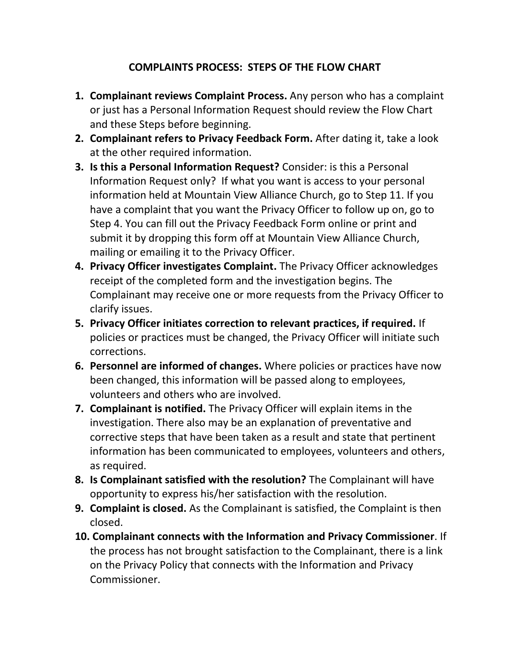## **COMPLAINTS PROCESS: STEPS OF THE FLOW CHART**

- **1. Complainant reviews Complaint Process.** Any person who has a complaint or just has a Personal Information Request should review the Flow Chart and these Steps before beginning.
- **2. Complainant refers to Privacy Feedback Form.** After dating it, take a look at the other required information.
- **3. Is this a Personal Information Request?** Consider: is this a Personal Information Request only? If what you want is access to your personal information held at Mountain View Alliance Church, go to Step 11. If you have a complaint that you want the Privacy Officer to follow up on, go to Step 4. You can fill out the Privacy Feedback Form online or print and submit it by dropping this form off at Mountain View Alliance Church, mailing or emailing it to the Privacy Officer.
- **4. Privacy Officer investigates Complaint.** The Privacy Officer acknowledges receipt of the completed form and the investigation begins. The Complainant may receive one or more requests from the Privacy Officer to clarify issues.
- **5. Privacy Officer initiates correction to relevant practices, if required.** If policies or practices must be changed, the Privacy Officer will initiate such corrections.
- **6. Personnel are informed of changes.** Where policies or practices have now been changed, this information will be passed along to employees, volunteers and others who are involved.
- **7. Complainant is notified.** The Privacy Officer will explain items in the investigation. There also may be an explanation of preventative and corrective steps that have been taken as a result and state that pertinent information has been communicated to employees, volunteers and others, as required.
- **8. Is Complainant satisfied with the resolution?** The Complainant will have opportunity to express his/her satisfaction with the resolution.
- **9. Complaint is closed.** As the Complainant is satisfied, the Complaint is then closed.
- **10. Complainant connects with the Information and Privacy Commissioner**. If the process has not brought satisfaction to the Complainant, there is a link on the Privacy Policy that connects with the Information and Privacy Commissioner.